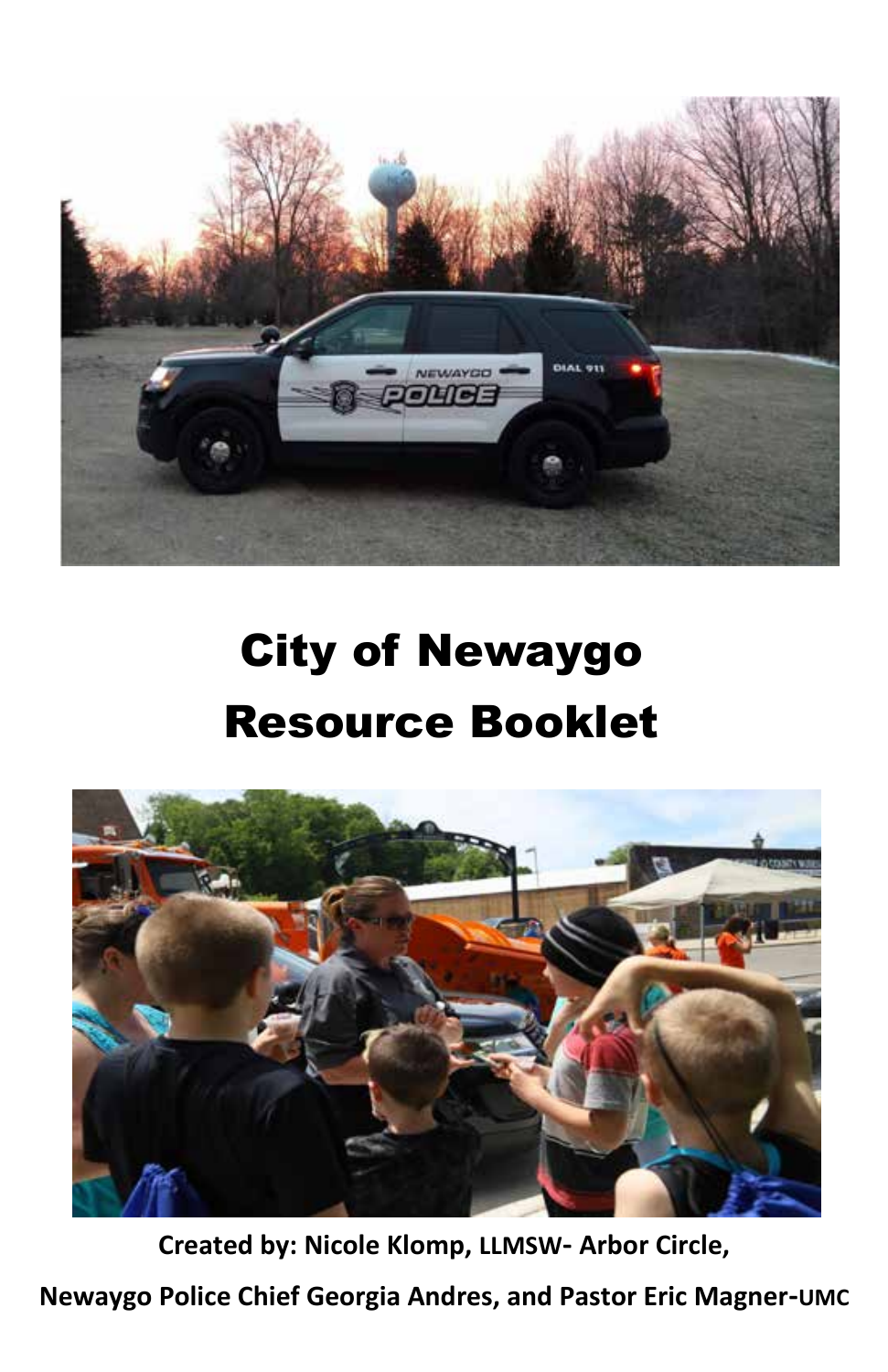

# City of Newaygo Resource Booklet



**Created by: Nicole Klomp, LLMSW- Arbor Circle,**

**Newaygo Police Chief Georgia Andres, and Pastor Eric Magner-UMC**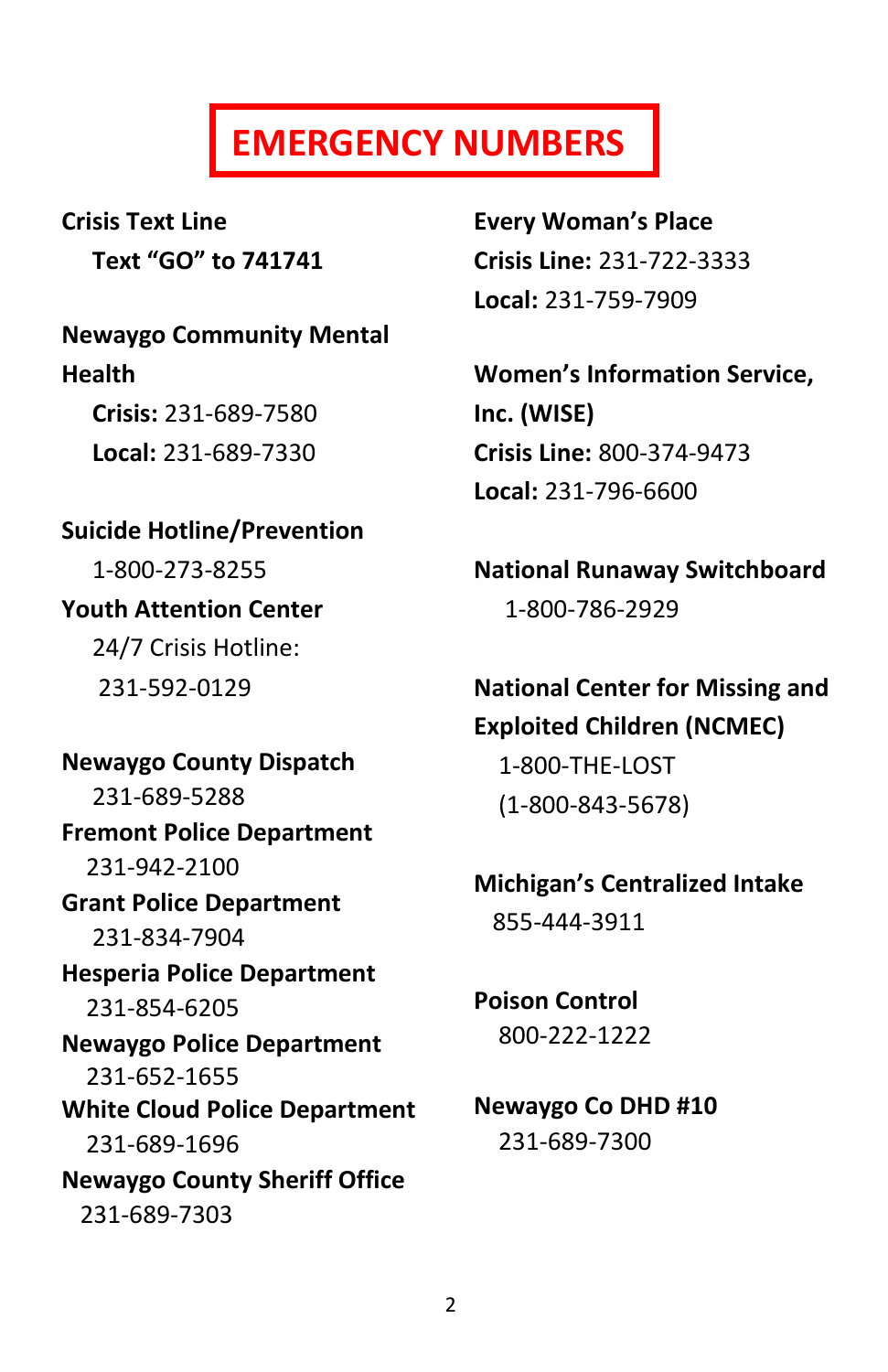## **EMERGENCY NUMBERS**

**Crisis Text Line Text "GO" to 741741**

**Newaygo Community Mental Health Crisis:** 231-689-7580  **Local:** 231-689-7330

**Suicide Hotline/Prevention**  1-800-273-8255 **Youth Attention Center**  24/7 Crisis Hotline: 231-592-0129

**Newaygo County Dispatch**  231-689-5288 **Fremont Police Department**  231-942-2100 **Grant Police Department**  231-834-7904 **Hesperia Police Department**  231-854-6205 **Newaygo Police Department** 231-652-1655 **White Cloud Police Department**  231-689-1696 **Newaygo County Sheriff Office**  231-689-7303

**Every Woman's Place Crisis Line:** 231-722-3333 **Local:** 231-759-7909

**Women's Information Service, Inc. (WISE) Crisis Line:** 800-374-9473 **Local:** 231-796-6600

**National Runaway Switchboard**  1-800-786-2929

**National Center for Missing and Exploited Children (NCMEC)** 

1-800-THE-LOST (1-800-843-5678)

## **Michigan's Centralized Intake**

855-444-3911

**Poison Control**  800-222-1222

#### **Newaygo Co DHD #10**  231-689-7300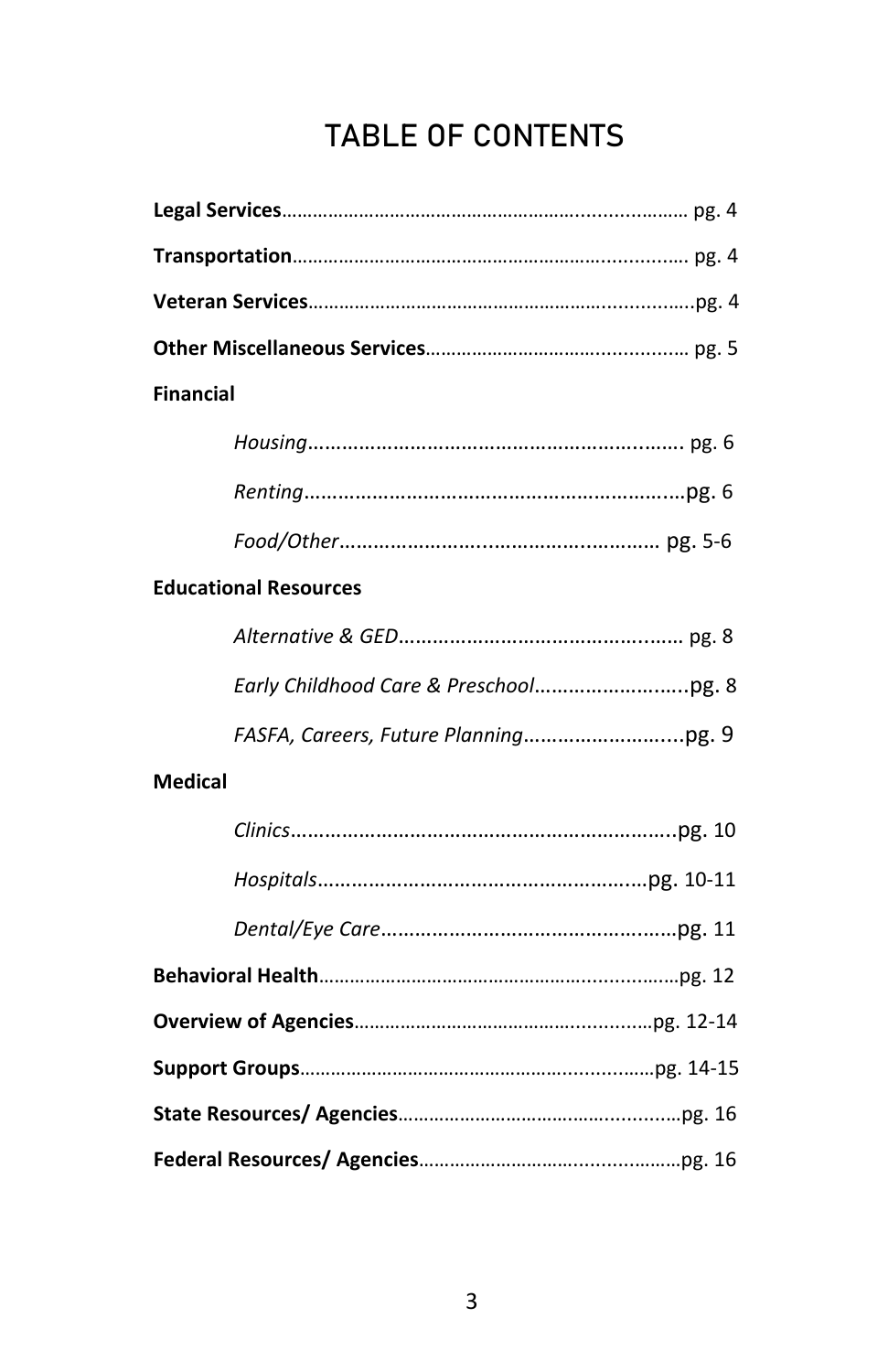### **TABLE OF CONTENTS**

| <b>Financial</b>             |
|------------------------------|
|                              |
|                              |
|                              |
| <b>Educational Resources</b> |
|                              |
|                              |
|                              |
| <b>Medical</b>               |
|                              |
|                              |
|                              |
|                              |
|                              |
|                              |
|                              |
|                              |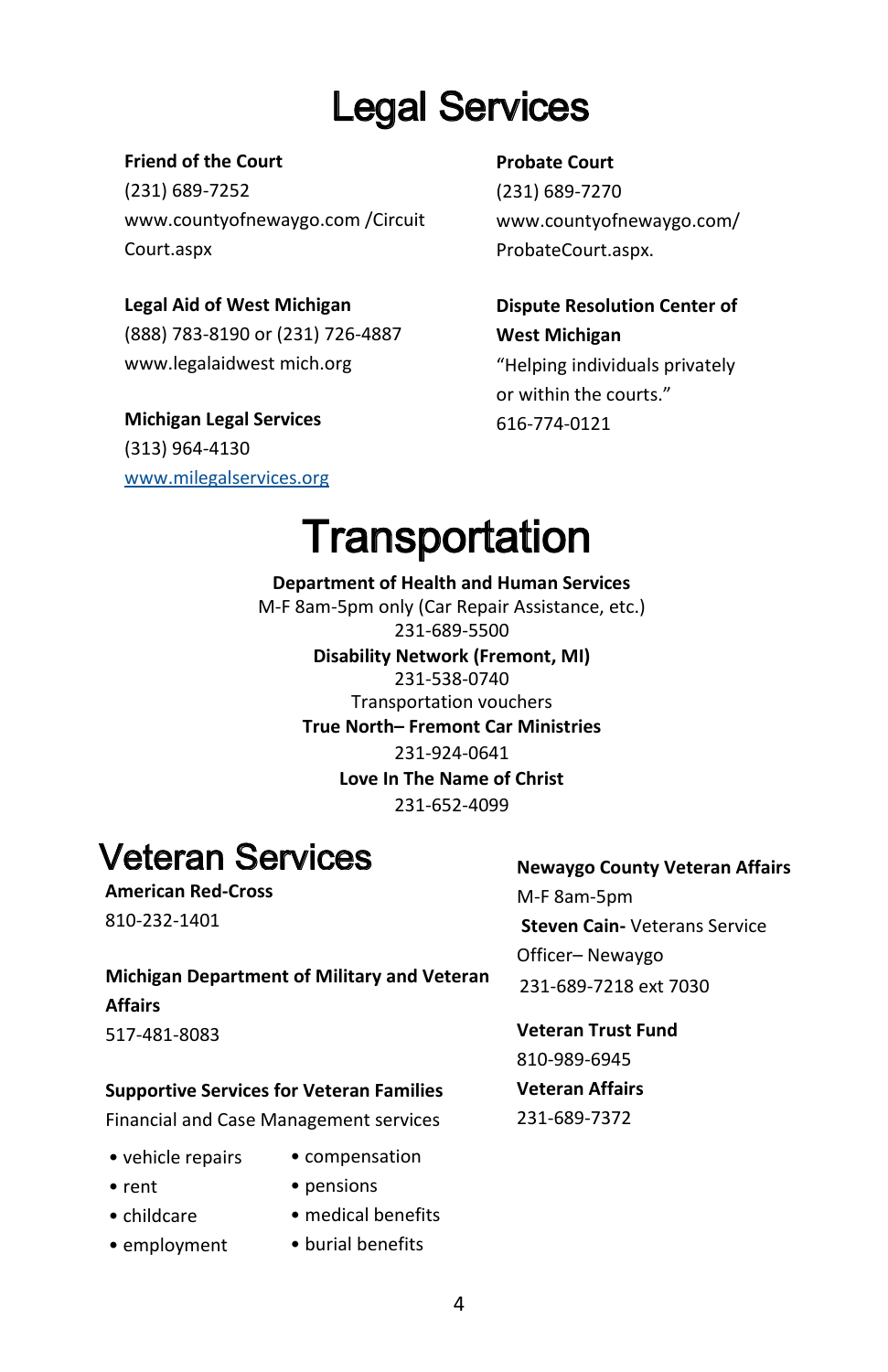## Legal Services

#### **Friend of the Court**

(231) 689-7252 www.countyofnewaygo.com /Circuit Court.aspx

#### **Legal Aid of West Michigan**

(888) 783-8190 or (231) 726-4887 www.legalaidwest mich.org

**Michigan Legal Services** (313) 964-4130 www.milegalservices.org

#### **Probate Court**

(231) 689-7270 www.countyofnewaygo.com/ ProbateCourt.aspx.

**Dispute Resolution Center of West Michigan**  "Helping individuals privately or within the courts." 616-774-0121

## **Transportation**

**Department of Health and Human Services** M-F 8am-5pm only (Car Repair Assistance, etc.) 231-689-5500 **Disability Network (Fremont, MI)**  231-538-0740 Transportation vouchers **True North– Fremont Car Ministries** 231-924-0641 **Love In The Name of Christ**  231-652-4099

## Veteran Services

**American Red-Cross** 810-232-1401

#### **Newaygo County Veteran Affairs**

M-F 8am-5pm **Steven Cain-** Veterans Service Officer– Newaygo 231-689-7218 ext 7030

**Veteran Trust Fund** 810-989-6945 **Veteran Affairs** 231-689-7372

- vehicle repairs
- rent

**Affairs** 517-481-8083

• pensions

**Michigan Department of Military and Veteran** 

**Supportive Services for Veteran Families** Financial and Case Management services

- childcare
- employment
- medical benefits
- $\bullet$  burial benefits

• compensation

4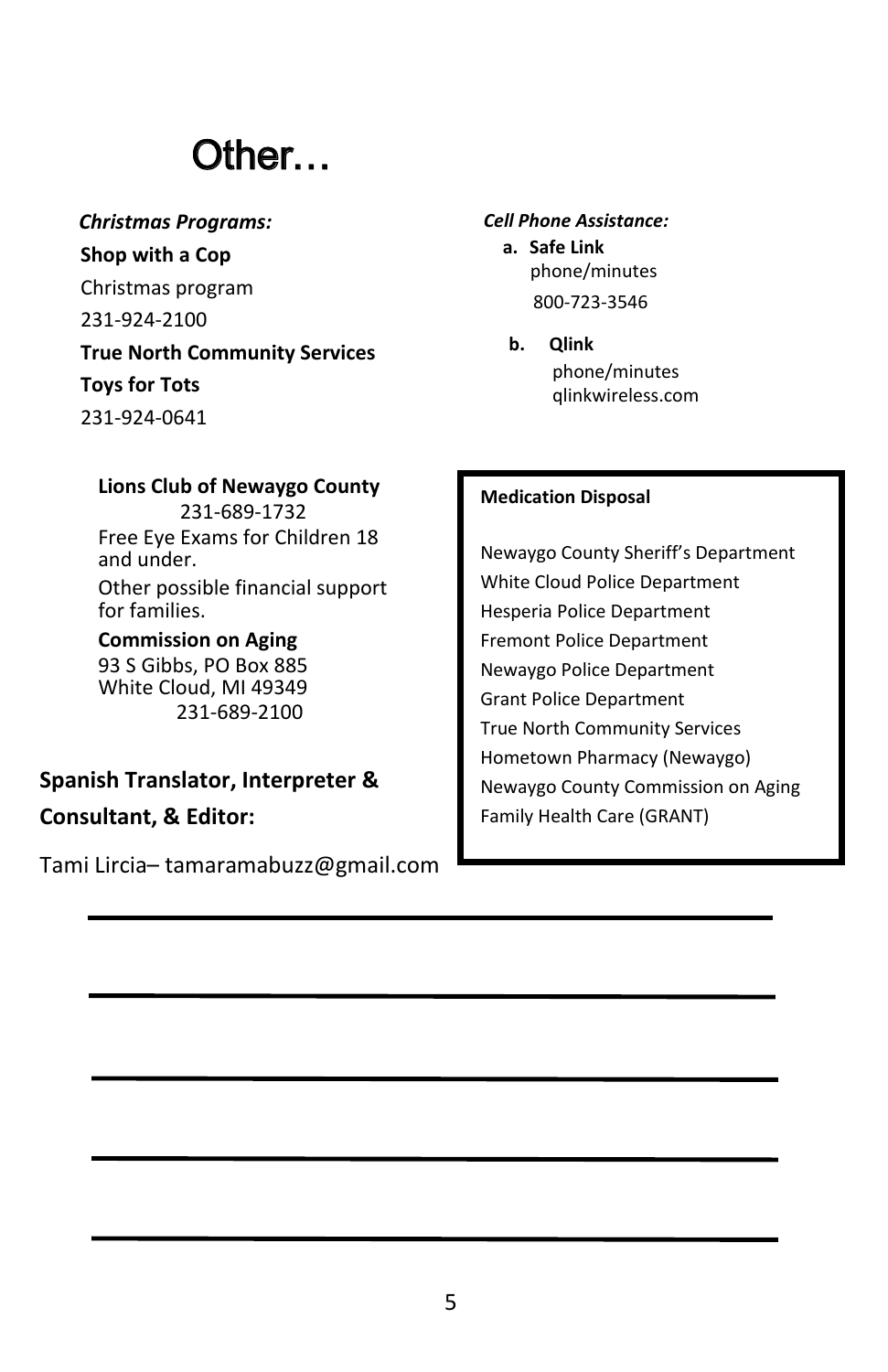## Other…

*Christmas Programs:* **Shop with a Cop**  Christmas program 231-924-2100 **True North Community Services Toys for Tots** 231-924-0641

#### *Cell Phone Assistance:*

**a. Safe Link** phone/minutes 800-723-3546

**b. Qlink** phone/minutes qlinkwireless.com

#### **Medication Disposal**

Newaygo County Sheriff's Department White Cloud Police Department Hesperia Police Department Fremont Police Department Newaygo Police Department Grant Police Department True North Community Services Hometown Pharmacy (Newaygo) Newaygo County Commission on Aging Family Health Care (GRANT)

**Lions Club of Newaygo County** 231-689-1732 Free Eye Exams for Children 18 and under. Other possible financial support for families. **Commission on Aging** 

93 S Gibbs, PO Box 885 White Cloud, MI 49349 231-689-2100

**Spanish Translator, Interpreter & Consultant, & Editor:** 

Tami Lircia– tamaramabuzz@gmail.com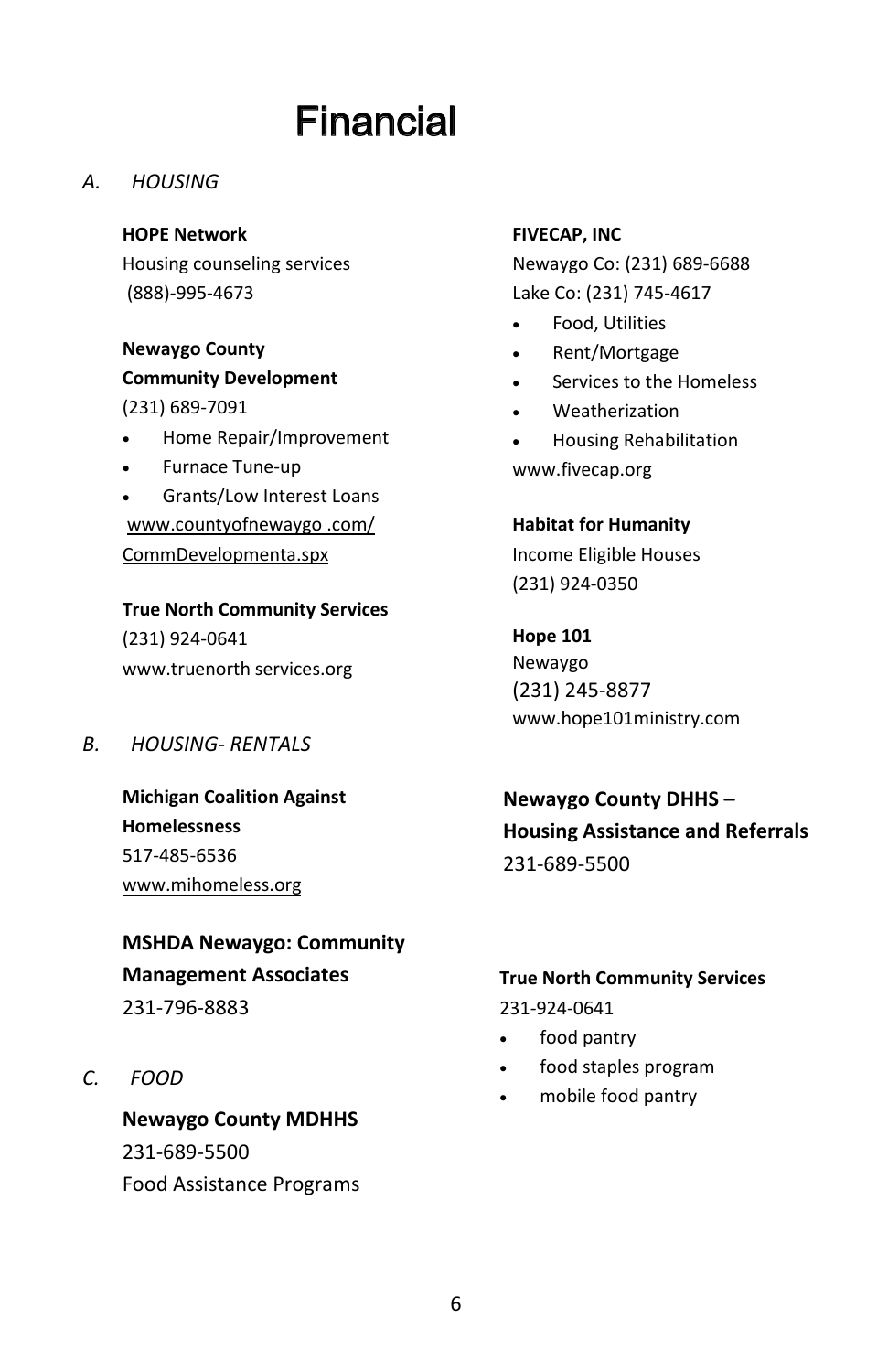## Financial

*A. HOUSING*

**HOPE Network**  Housing counseling services (888)-995-4673

**Newaygo County Community Development**  (231) 689-7091

- Home Repair/Improvement
- Furnace Tune-up
- Grants/Low Interest Loans www.countyofnewaygo .com/ CommDevelopmenta.spx

**True North Community Services**  (231) 924-0641 www.truenorth services.org

*B. HOUSING- RENTALS*

**Michigan Coalition Against Homelessness**  517-485-6536 www.mihomeless.org

**MSHDA Newaygo: Community Management Associates**  231-796-8883

*C. FOOD*

**Newaygo County MDHHS** 231-689-5500 Food Assistance Programs

#### **FIVECAP, INC**

Newaygo Co: (231) 689-6688 Lake Co: (231) 745-4617

- Food, Utilities
- Rent/Mortgage
- Services to the Homeless
- Weatherization
- Housing Rehabilitation www.fivecap.org

**Habitat for Humanity**  Income Eligible Houses

(231) 924-0350

**Hope 101** Newaygo (231) 245-8877 www.hope101ministry.com

**Newaygo County DHHS – Housing Assistance and Referrals**  231-689-5500

#### **True North Community Services**

231-924-0641

- food pantry
- food staples program
- mobile food pantry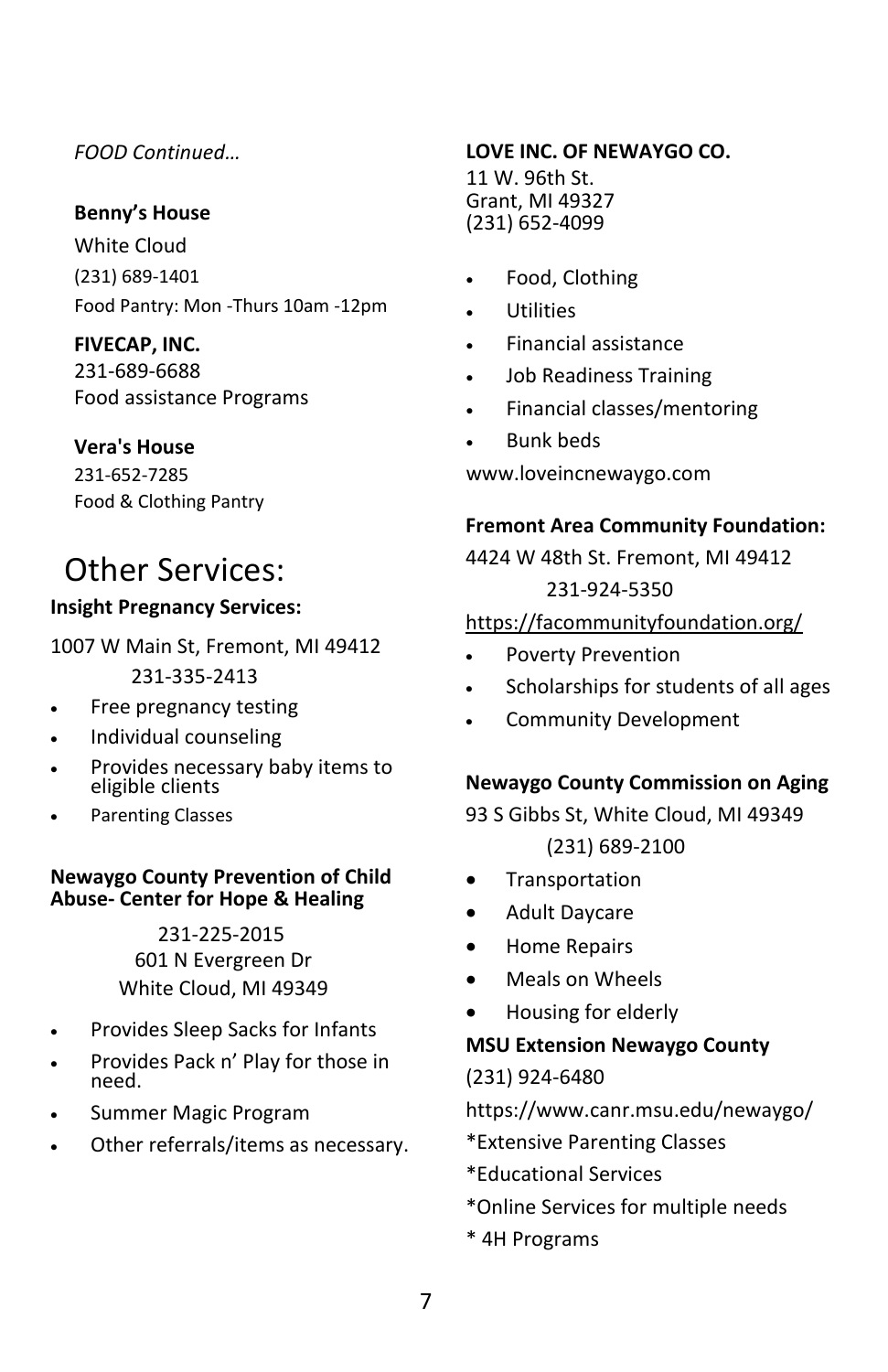#### *FOOD Continued…*

#### **Benny's House**

White Cloud (231) 689-1401 Food Pantry: Mon -Thurs 10am -12pm

#### **FIVECAP, INC.**

231-689-6688 Food assistance Programs

#### **Vera's House**

231-652-7285 Food & Clothing Pantry

### Other Services:

#### **Insight Pregnancy Services:**

1007 W Main St, Fremont, MI 49412 231-335-2413

- Free pregnancy testing
- Individual counseling
- Provides necessary baby items to eligible clients
- Parenting Classes

#### **Newaygo County Prevention of Child Abuse- Center for Hope & Healing**

231-225-2015 601 N Evergreen Dr White Cloud, MI 49349

- Provides Sleep Sacks for Infants
- Provides Pack n' Play for those in need.
- Summer Magic Program
- Other referrals/items as necessary.

#### **LOVE INC. OF NEWAYGO CO.**

11 W. 96th St. Grant, MI 49327 (231) 652-4099

- Food, Clothing
- Utilities
- Financial assistance
- Job Readiness Training
- Financial classes/mentoring
- Bunk beds

www.loveincnewaygo.com

#### **Fremont Area Community Foundation:**

4424 W 48th St. Fremont, MI 49412 231-924-5350

#### https://facommunityfoundation.org/

- Poverty Prevention
- Scholarships for students of all ages
- Community Development

#### **Newaygo County Commission on Aging**

93 S Gibbs St, White Cloud, MI 49349 (231) 689-2100

- **•** Transportation
- Adult Daycare
- **•** Home Repairs
- Meals on Wheels
- Housing for elderly

#### **MSU Extension Newaygo County**

(231) 924-6480

https://www.canr.msu.edu/newaygo/

- \*Extensive Parenting Classes
- \*Educational Services
- \*Online Services for multiple needs
- \* 4H Programs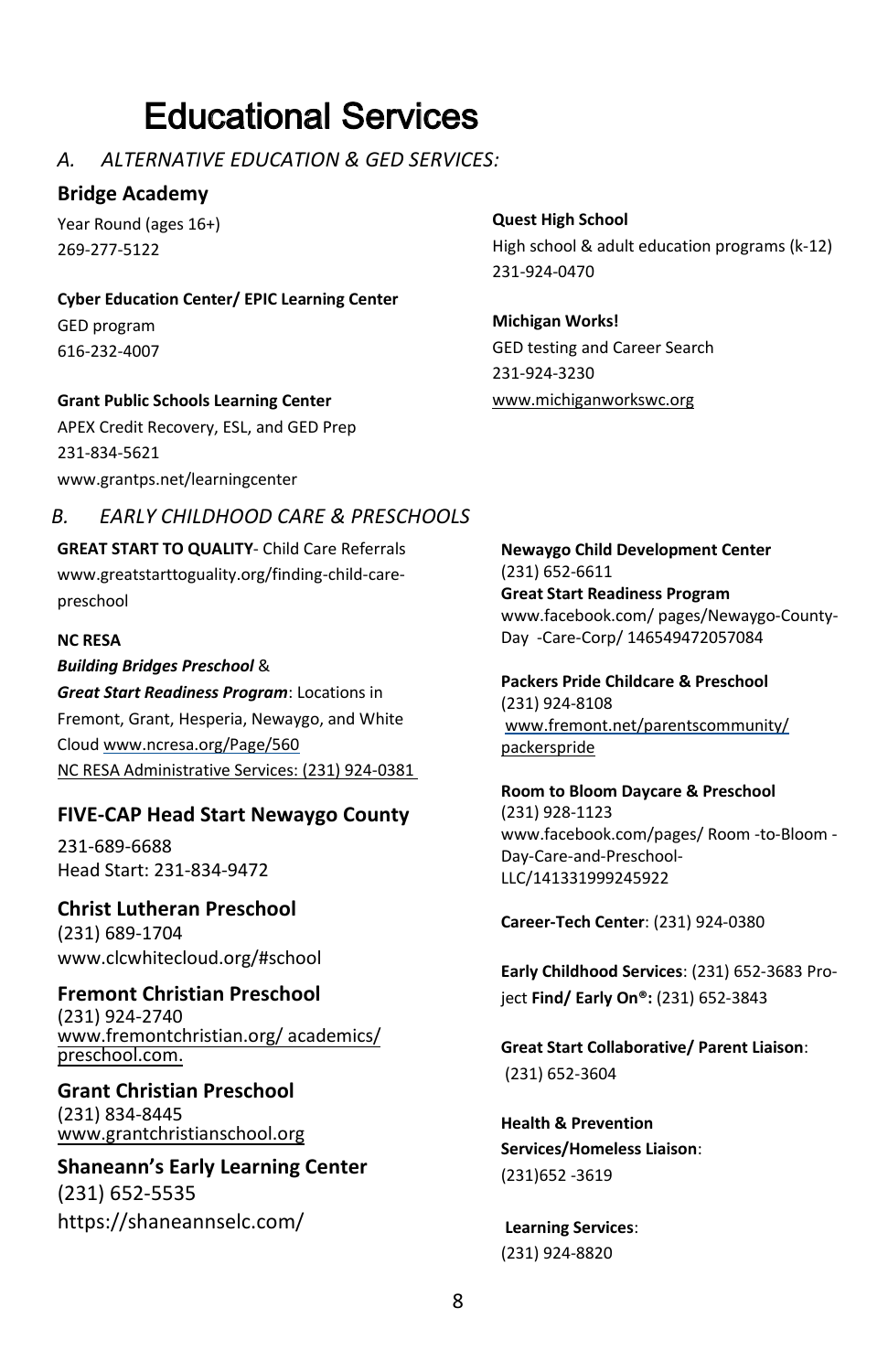## Educational Services

#### *A. ALTERNATIVE EDUCATION & GED SERVICES:*

#### **Bridge Academy**

Year Round (ages 16+) 269-277-5122

**Cyber Education Center/ EPIC Learning Center** GED program

616-232-4007

#### **Grant Public Schools Learning Center**

APEX Credit Recovery, ESL, and GED Prep 231-834-5621 www.grantps.net/learningcenter

#### *B. EARLY CHILDHOOD CARE & PRESCHOOLS*

**GREAT START TO QUALITY**- Child Care Referrals www.greatstarttoguality.org/finding-child-carepreschool

#### **NC RESA**

*Building Bridges Preschool* & *Great Start Readiness Program*: Locations in Fremont, Grant, Hesperia, Newaygo, and White Cloud www.ncresa.org/Page/560 NC RESA Administrative Services: (231) 924-0381

#### **FIVE-CAP Head Start Newaygo County**

231-689-6688 Head Start: 231-834-9472

**Christ Lutheran Preschool**  (231) 689-1704 www.clcwhitecloud.org/#school

**Fremont Christian Preschool**  (231) 924-2740 www.fremontchristian.org/ academics/ preschool.com.

**Grant Christian Preschool**  (231) 834-8445 www.grantchristianschool.org

**Shaneann's Early Learning Center** (231) 652-5535 https://shaneannselc.com/

**Quest High School**  High school & adult education programs (k-12) 231-924-0470

**Michigan Works!** GED testing and Career Search 231-924-3230 www.michiganworkswc.org

**Newaygo Child Development Center** (231) 652-6611 **Great Start Readiness Program** www.facebook.com/ pages/Newaygo-County-Day -Care-Corp/ 146549472057084

**Packers Pride Childcare & Preschool** (231) 924-8108 www.fremont.net/parentscommunity/ packerspride

**Room to Bloom Daycare & Preschool** (231) 928-1123 www.facebook.com/pages/ Room -to-Bloom - Day-Care-and-Preschool-LLC/141331999245922

**Career-Tech Center**: (231) 924-0380

**Early Childhood Services**: (231) 652-3683 Project **Find/ Early On®:** (231) 652-3843

**Great Start Collaborative/ Parent Liaison**: (231) 652-3604

**Health & Prevention Services/Homeless Liaison**: (231)652 -3619

**Learning Services**: (231) 924-8820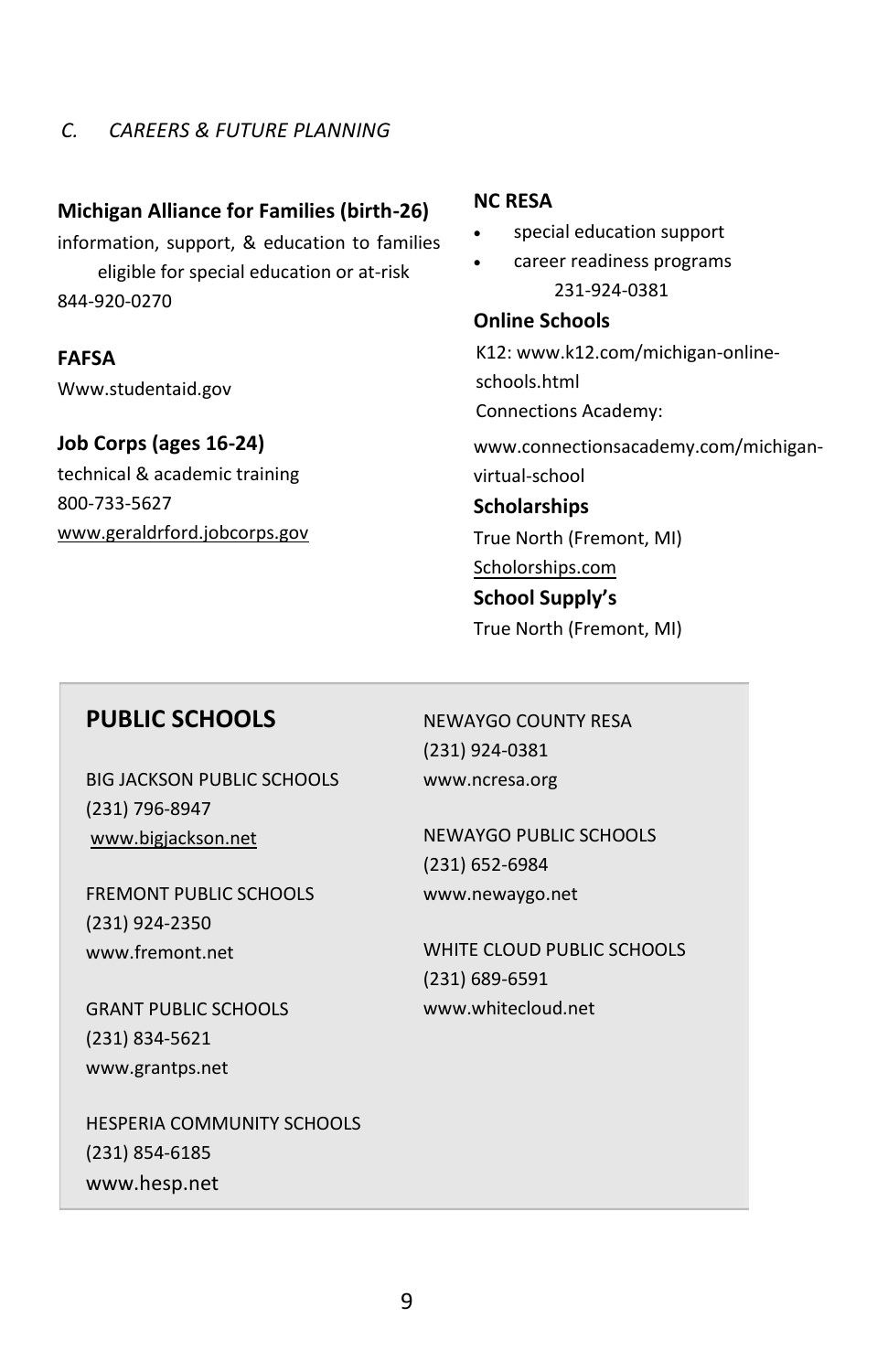#### *C. CAREERS & FUTURE PLANNING*

#### **Michigan Alliance for Families (birth-26)**

information, support, & education to families eligible for special education or at-risk 844-920-0270

#### **FAFSA**

Www.studentaid.gov

#### **Job Corps (ages 16-24)**

technical & academic training 800-733-5627 www.geraldrford.jobcorps.gov

#### **NC RESA**

- special education support
- career readiness programs 231-924-0381

#### **Online Schools**

K12: www.k12.com/michigan-onlineschools.html Connections Academy:

www.connectionsacademy.com/michiganvirtual-school

#### **Scholarships**

True North (Fremont, MI)

#### Scholorships.com **School Supply's**

True North (Fremont, MI)

#### **PUBLIC SCHOOLS**

BIG JACKSON PUBLIC SCHOOLS (231) 796-8947 www.bigjackson.net

FREMONT PUBLIC SCHOOLS (231) 924-2350 www.fremont.net

GRANT PUBLIC SCHOOLS (231) 834-5621 www.grantps.net

HESPERIA COMMUNITY SCHOOLS (231) 854-6185 www.hesp.net

NEWAYGO COUNTY RESA (231) 924-0381 www.ncresa.org

NEWAYGO PUBLIC SCHOOLS (231) 652-6984 www.newaygo.net

WHITE CLOUD PUBLIC SCHOOLS (231) 689-6591 www.whitecloud.net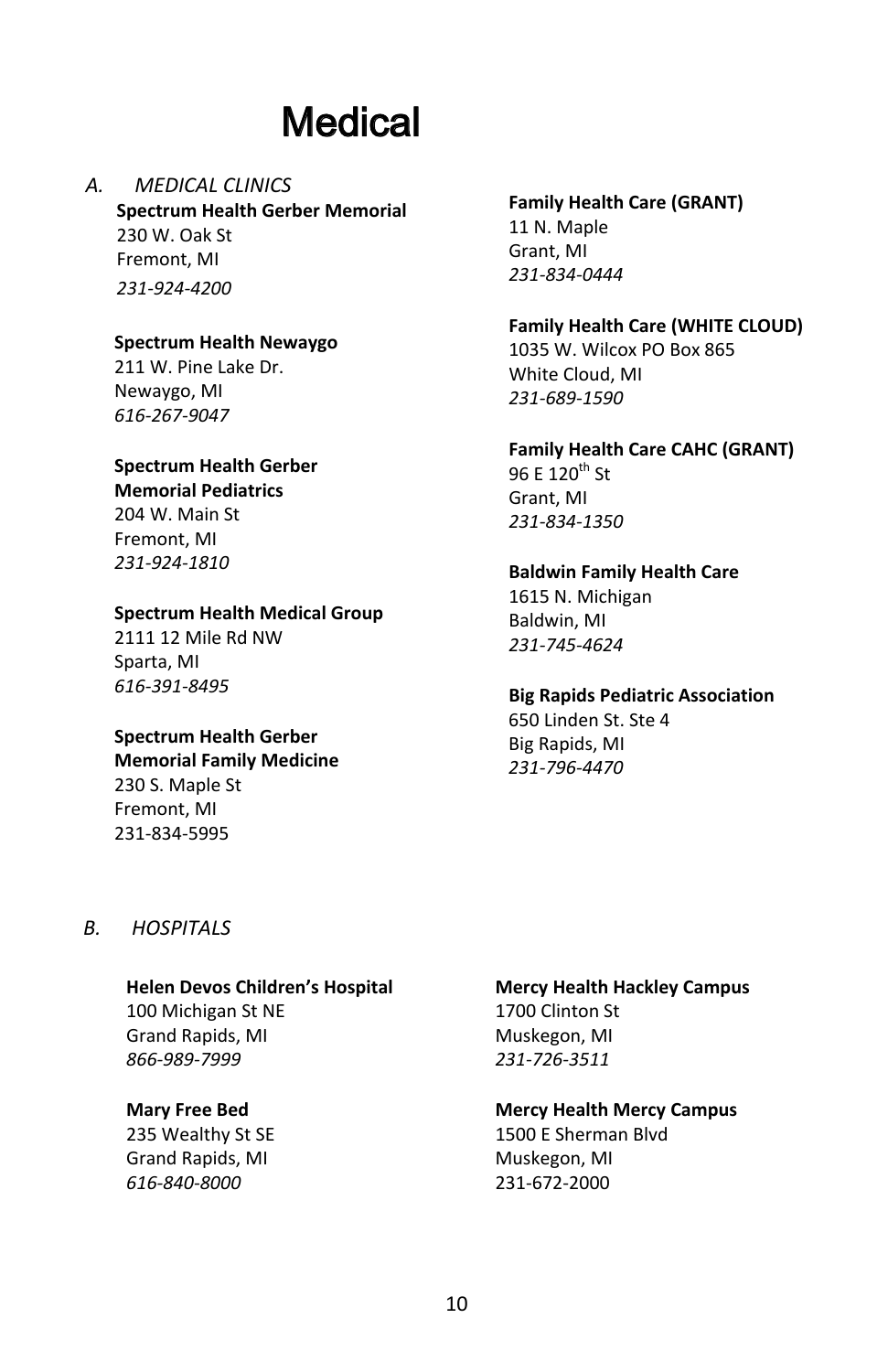## **Medical**

#### *A. MEDICAL CLINICS* **Spectrum Health Gerber Memorial**

230 W. Oak St Fremont, MI *231-924-4200*

#### **Spectrum Health Newaygo**

211 W. Pine Lake Dr. Newaygo, MI *616-267-9047*

#### **Spectrum Health Gerber Memorial Pediatrics**

204 W. Main St Fremont, MI *231-924-1810*

#### **Spectrum Health Medical Group**

2111 12 Mile Rd NW Sparta, MI *616-391-8495*

#### **Spectrum Health Gerber**

**Memorial Family Medicine**  230 S. Maple St Fremont, MI 231-834-5995

#### **Family Health Care (GRANT)**  11 N. Maple Grant, MI *231-834-0444*

#### **Family Health Care (WHITE CLOUD)**  1035 W. Wilcox PO Box 865 White Cloud, MI *231-689-1590*

#### **Family Health Care CAHC (GRANT)**

96 F 120<sup>th</sup> St Grant, MI *231-834-1350*

#### **Baldwin Family Health Care**

1615 N. Michigan Baldwin, MI *231-745-4624*

#### **Big Rapids Pediatric Association**

650 Linden St. Ste 4 Big Rapids, MI *231-796-4470*

#### *B. HOSPITALS*

#### **Helen Devos Children's Hospital**

100 Michigan St NE Grand Rapids, MI *866-989-7999*

#### **Mary Free Bed**

235 Wealthy St SE Grand Rapids, MI *616-840-8000*

#### **Mercy Health Hackley Campus**  1700 Clinton St Muskegon, MI *231-726-3511*

#### **Mercy Health Mercy Campus**

1500 E Sherman Blvd Muskegon, MI 231-672-2000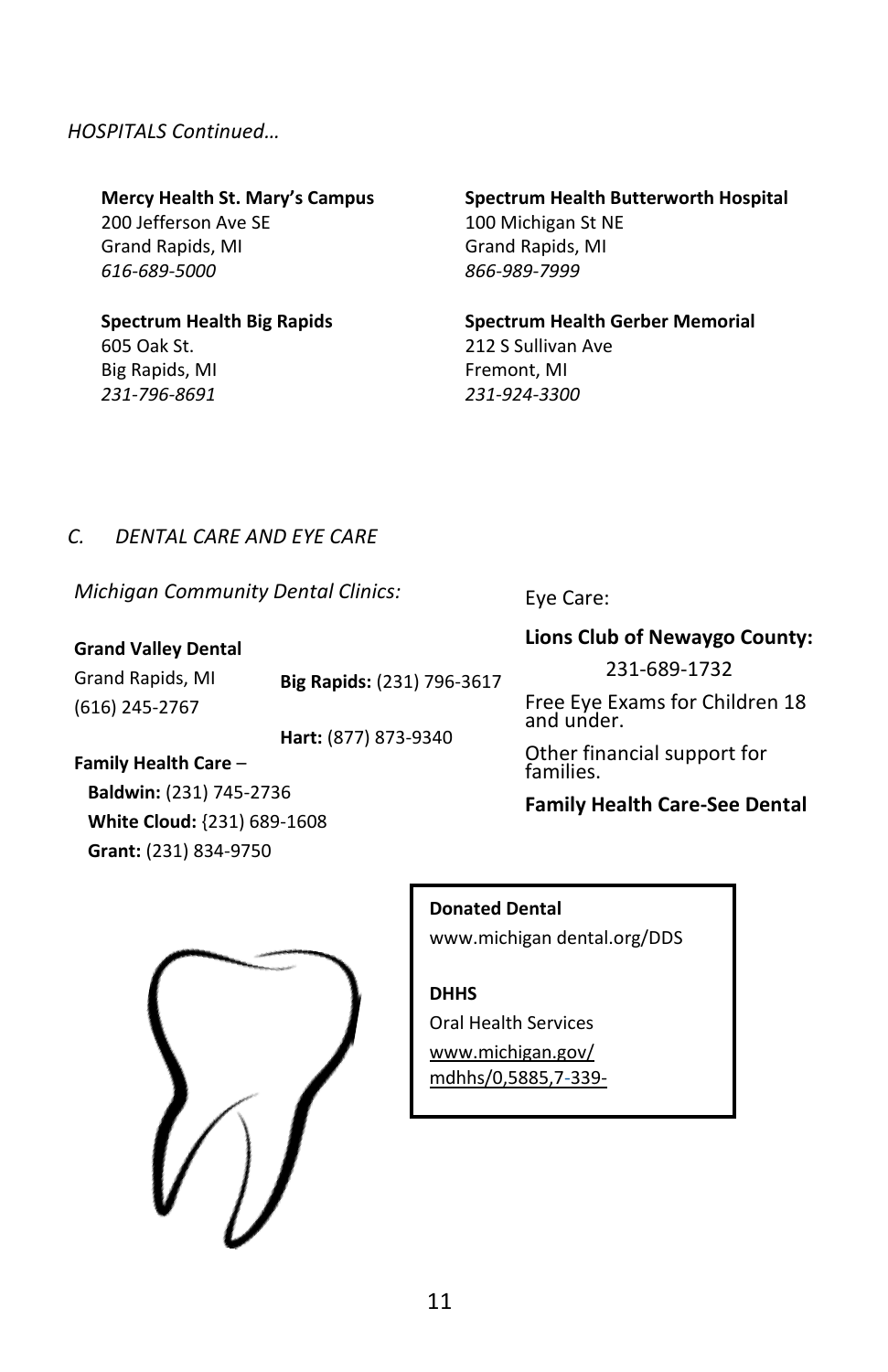#### *HOSPITALS Continued…*

**Mercy Health St. Mary's Campus** 200 Jefferson Ave SE Grand Rapids, MI *616-689-5000*

#### **Spectrum Health Big Rapids**  605 Oak St.

Big Rapids, MI *231-796-8691*

#### **Spectrum Health Butterworth Hospital**  100 Michigan St NE Grand Rapids, MI *866-989-7999*

**Spectrum Health Gerber Memorial**  212 S Sullivan Ave Fremont, MI *231-924-3300*

#### *C. DENTAL CARE AND EYE CARE*

*Michigan Community Dental Clinics:* 

#### **Grand Valley Dental**

Grand Rapids, MI (616) 245-2767 **Big Rapids:** (231) 796-3617

**Hart:** (877) 873-9340

#### **Family Health Care** –

 **Baldwin:** (231) 745-2736 **White Cloud:** {231) 689-1608  **Grant:** (231) 834-9750

#### Eye Care:

#### **Lions Club of Newaygo County:**

231-689-1732

Free Eye Exams for Children 18 and under.

Other financial support for families.

#### **Family Health Care-See Dental**

#### **Donated Dental**

www.michigan dental.org/DDS

#### **DHHS**

Oral Health Services www.michigan.gov/ mdhhs/0,5885,7-339-

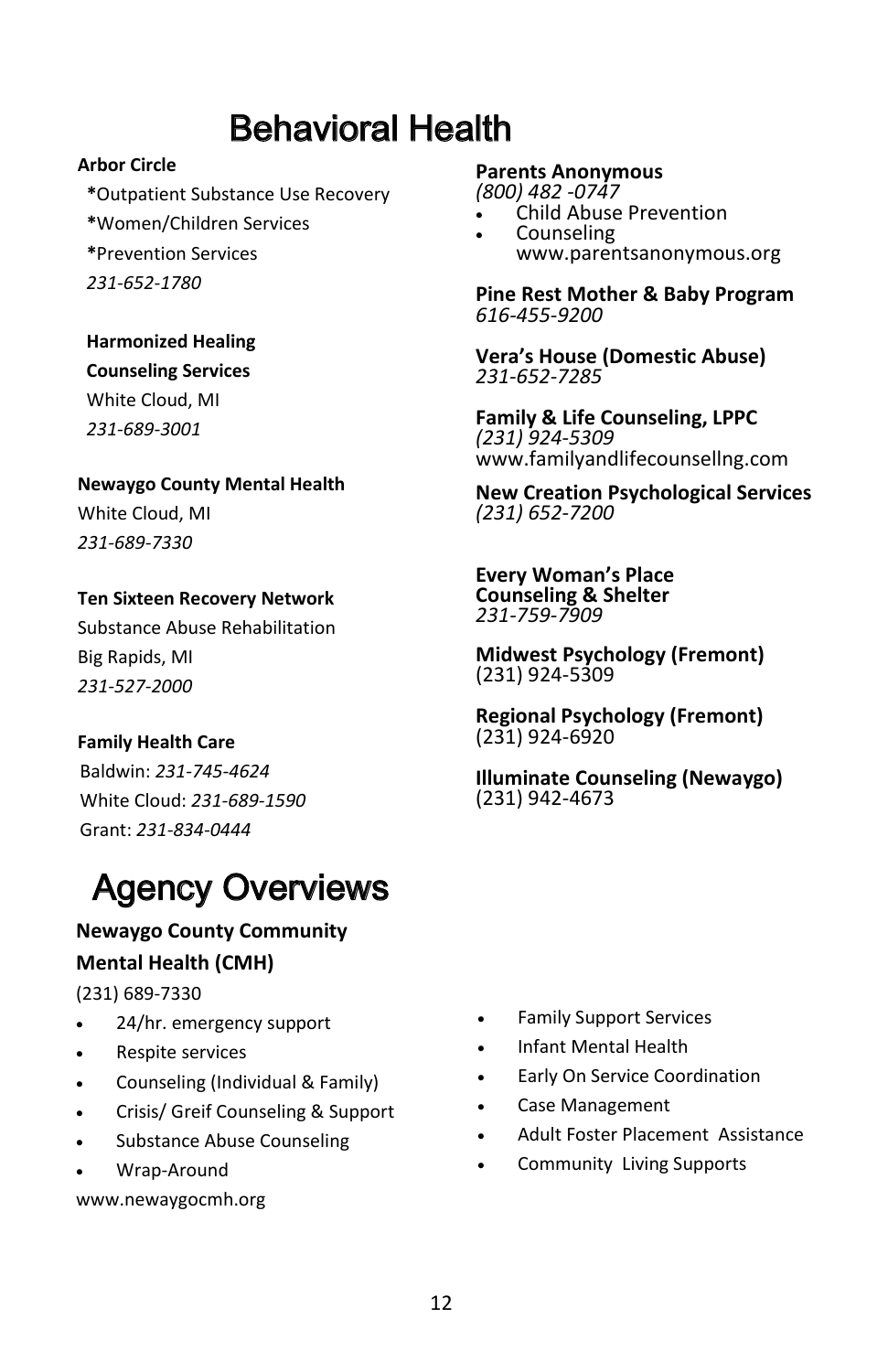### Behavioral Health

#### **Arbor Circle**

- **\***Outpatient Substance Use Recovery
- **\***Women/Children Services
- **\***Prevention Services
- *231-652-1780*

**Harmonized Healing** 

#### **Counseling Services**

White Cloud, MI *231-689-3001*

#### **Newaygo County Mental Health**

White Cloud, MI *231-689-7330*

#### **Ten Sixteen Recovery Network**

Substance Abuse Rehabilitation Big Rapids, MI *231-527-2000*

#### **Family Health Care**

 Baldwin: *231-745-4624*  White Cloud: *231-689-1590*  Grant: *231-834-0444* 

## Agency Overviews

**Newaygo County Community Mental Health (CMH)** 

#### (231) 689-7330

- 24/hr. emergency support
- Respite services
- Counseling (Individual & Family)
- Crisis/ Greif Counseling & Support
- Substance Abuse Counseling
- Wrap-Around

www.newaygocmh.org

#### **Parents Anonymous**

*(800) 482 -0747*

- Child Abuse Prevention
- Counseling www.parentsanonymous.org

**Pine Rest Mother & Baby Program**  *616-455-9200*

**Vera's House (Domestic Abuse)** *231-652-7285*

**Family & Life Counseling, LPPC** *(231) 924-5309* www.familyandlifecounsellng.com

**New Creation Psychological Services**  *(231) 652-7200*

**Every Woman's Place Counseling & Shelter** *231-759-7909*

**Midwest Psychology (Fremont)**  (231) 924-5309

**Regional Psychology (Fremont)** (231) 924-6920

**Illuminate Counseling (Newaygo)** (231) 942-4673

- Family Support Services
- Infant Mental Health
- Early On Service Coordination
- Case Management
- Adult Foster Placement Assistance
- Community Living Supports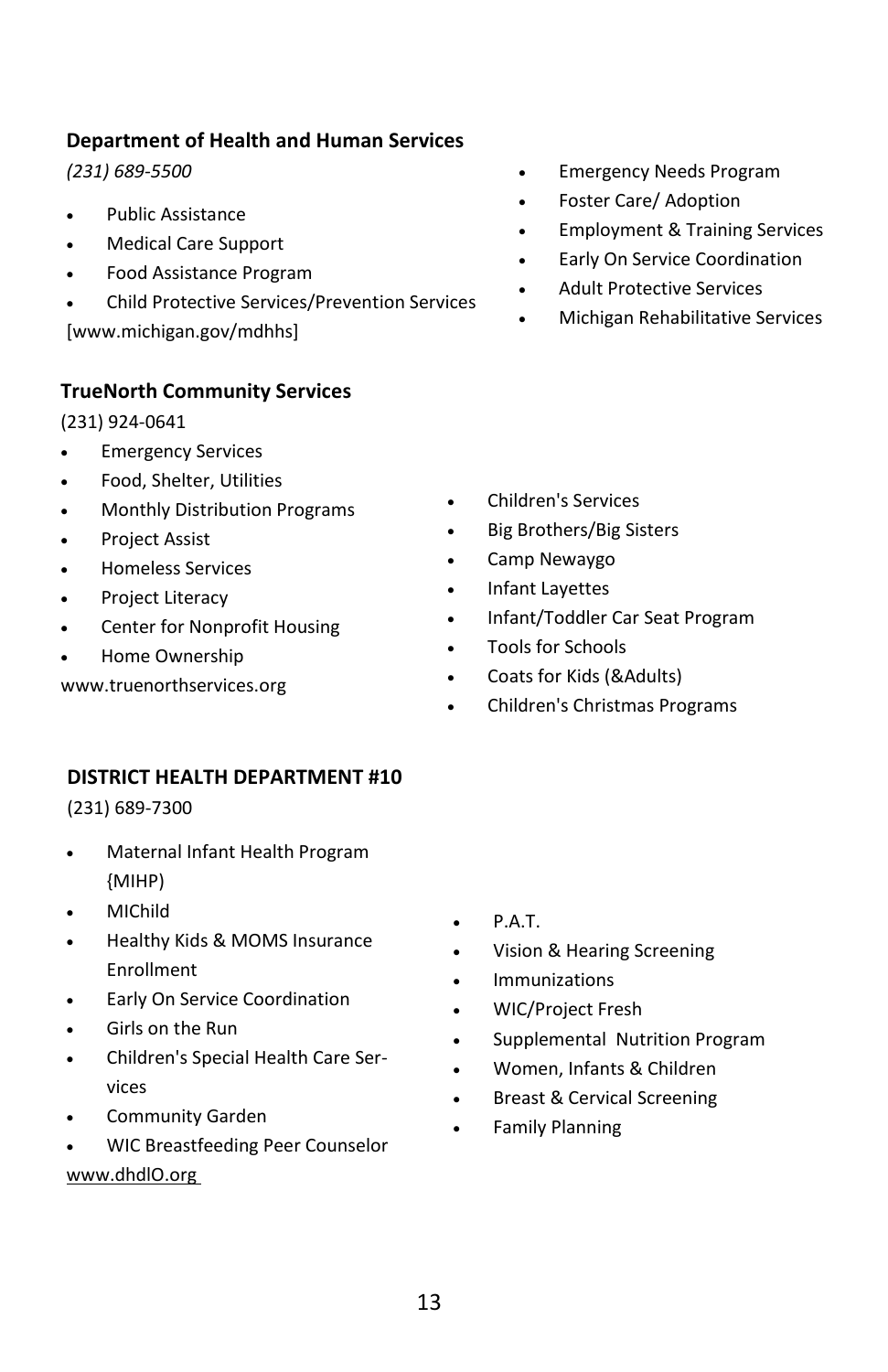#### **Department of Health and Human Services**

*(231) 689-5500*

- Public Assistance
- Medical Care Support
- Food Assistance Program
- Child Protective Services/Prevention Services

[www.michigan.gov/mdhhs]

#### **TrueNorth Community Services**

(231) 924-0641

- **Emergency Services**
- Food, Shelter, Utilities
- Monthly Distribution Programs
- Project Assist
- Homeless Services
- Project Literacy
- Center for Nonprofit Housing
- Home Ownership

www.truenorthservices.org

- Emergency Needs Program
- Foster Care/ Adoption
- Employment & Training Services
- Early On Service Coordination
- Adult Protective Services
- Michigan Rehabilitative Services

- Children's Services
- Big Brothers/Big Sisters
- Camp Newaygo
- Infant Layettes
- Infant/Toddler Car Seat Program
- Tools for Schools
- Coats for Kids (&Adults)
- Children's Christmas Programs

#### **DISTRICT HEALTH DEPARTMENT #10**

(231) 689-7300

- Maternal Infant Health Program {MIHP)
- MIChild
- Healthy Kids & MOMS Insurance Enrollment
- **Early On Service Coordination**
- Girls on the Run
- Children's Special Health Care Services
- Community Garden
- WIC Breastfeeding Peer Counselor www.dhdlO.org
- P.A.T.
- Vision & Hearing Screening
- **•** Immunizations
- WIC/Project Fresh
- Supplemental Nutrition Program
- Women, Infants & Children
- Breast & Cervical Screening
- Family Planning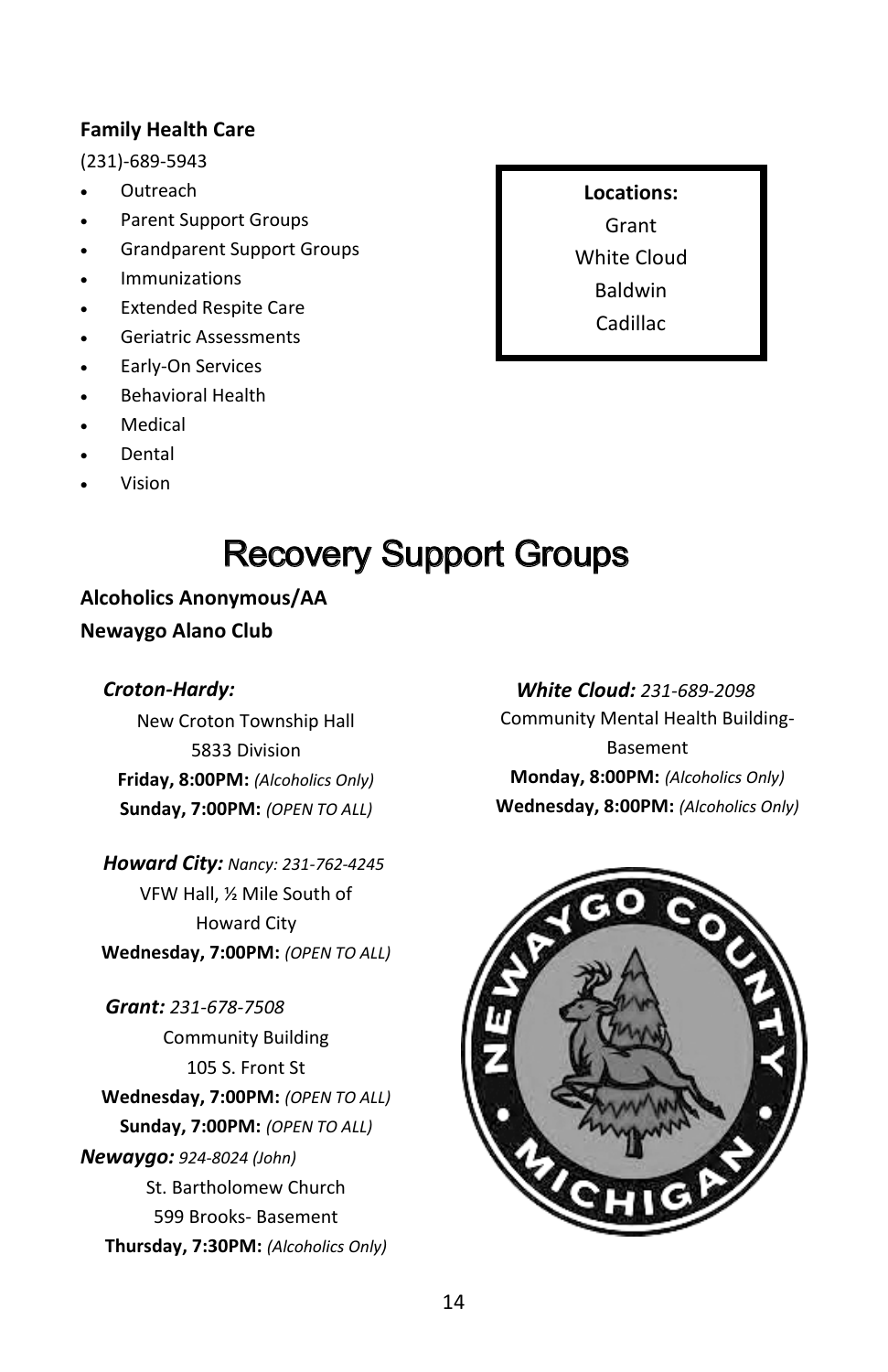#### **Family Health Care**

(231)-689-5943

- Outreach
- Parent Support Groups
- Grandparent Support Groups
- Immunizations
- Extended Respite Care
- Geriatric Assessments
- Early-On Services
- Behavioral Health
- Medical
- Dental
- Vision

## Recovery Support Groups

**Alcoholics Anonymous/AA Newaygo Alano Club**

#### *Croton-Hardy:*

New Croton Township Hall 5833 Division **Friday, 8:00PM:** *(Alcoholics Only)* **Sunday, 7:00PM:** *(OPEN TO ALL)*

 *Howard City: Nancy: 231-762-4245* VFW Hall, ½ Mile South of Howard City **Wednesday, 7:00PM:** *(OPEN TO ALL)*

*Grant: 231-678-7508* Community Building 105 S. Front St **Wednesday, 7:00PM:** *(OPEN TO ALL)* **Sunday, 7:00PM:** *(OPEN TO ALL) Newaygo: 924-8024 (John)* St. Bartholomew Church 599 Brooks- Basement **Thursday, 7:30PM:** *(Alcoholics Only)*

 *White Cloud: 231-689-2098* Community Mental Health Building-Basement **Monday, 8:00PM:** *(Alcoholics Only)* **Wednesday, 8:00PM:** *(Alcoholics Only)*



**Locations:** Grant White Cloud Baldwin Cadillac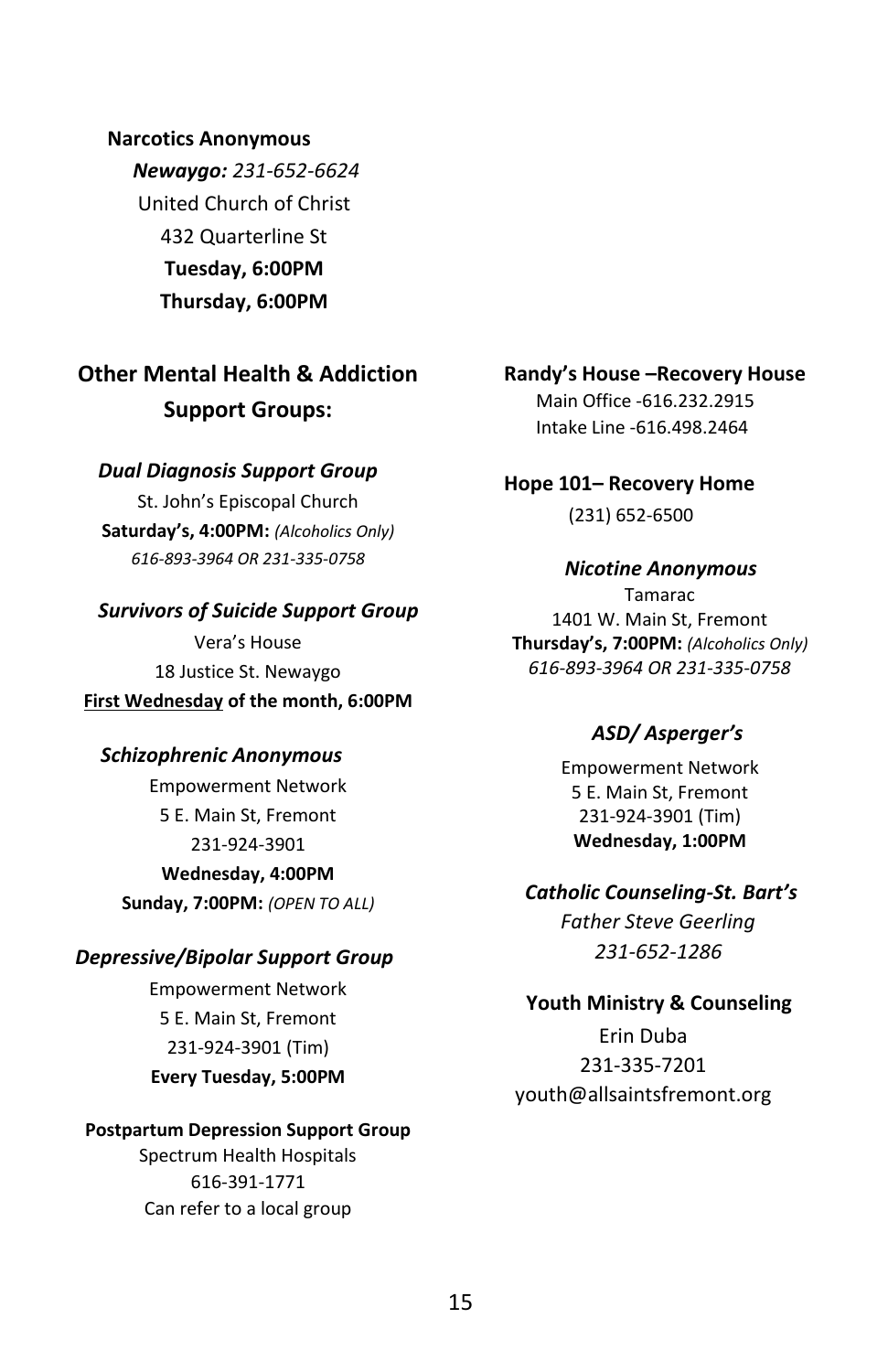**Narcotics Anonymous**  *Newaygo: 231-652-6624* United Church of Christ 432 Quarterline St **Tuesday, 6:00PM Thursday, 6:00PM**

**Other Mental Health & Addiction Support Groups:** 

#### *Dual Diagnosis Support Group*

St. John's Episcopal Church **Saturday's, 4:00PM:** *(Alcoholics Only) 616-893-3964 OR 231-335-0758* 

#### *Survivors of Suicide Support Group*

Vera's House 18 Justice St. Newaygo **First Wednesday of the month, 6:00PM**

#### *Schizophrenic Anonymous*

Empowerment Network 5 E. Main St, Fremont 231-924-3901 **Wednesday, 4:00PM**

**Sunday, 7:00PM:** *(OPEN TO ALL)* 

#### *Depressive/Bipolar Support Group*

Empowerment Network 5 E. Main St, Fremont 231-924-3901 (Tim) **Every Tuesday, 5:00PM**

#### **Postpartum Depression Support Group**

Spectrum Health Hospitals 616-391-1771 Can refer to a local group

**Randy's House –Recovery House** Main Office -616.232.2915 Intake Line -616.498.2464

**Hope 101– Recovery Home** 

(231) 652-6500

#### *Nicotine Anonymous*

Tamarac 1401 W. Main St, Fremont **Thursday's, 7:00PM:** *(Alcoholics Only) 616-893-3964 OR 231-335-0758*

#### *ASD/ Asperger's*

Empowerment Network 5 E. Main St, Fremont 231-924-3901 (Tim) **Wednesday, 1:00PM**

*Catholic Counseling-St. Bart's Father Steve Geerling 231-652-1286*

#### **Youth Ministry & Counseling**

Erin Duba 231-335-7201 youth@allsaintsfremont.org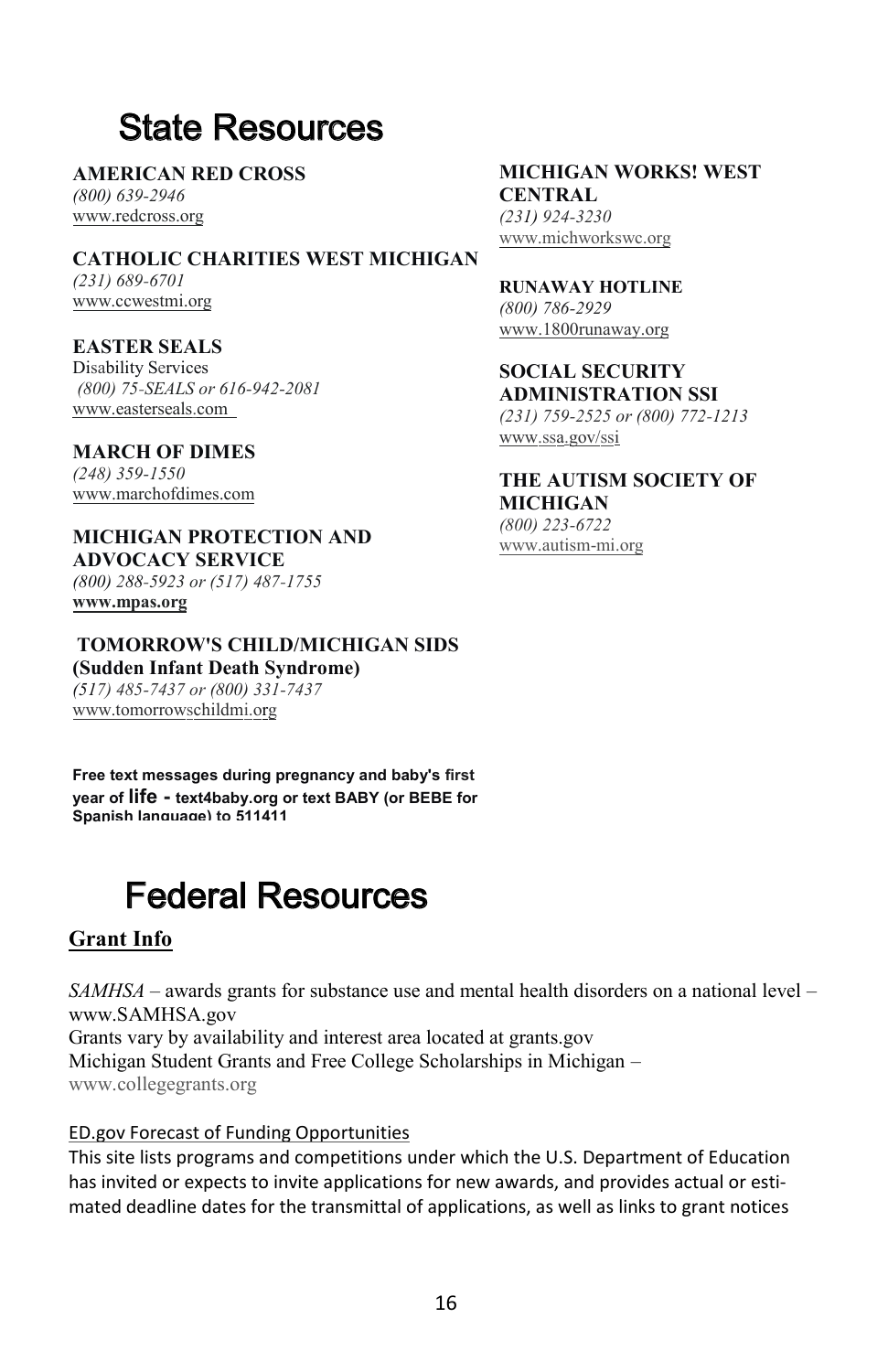## State Resources

**AMERICAN RED CROSS** *(800) 639-2946* www.redcross.org

**CATHOLIC CHARITIES WEST MICHIGAN** *(231) 689-6701* www.ccwestmi.org

**EASTER SEALS** Disability Services *(800) 75-SEALS or 616-942-2081* www.easterseals.com

**MARCH OF DIMES** *(248) 359-1550* www.marchofdimes.com

**MICHIGAN PROTECTION AND ADVOCACY SERVICE**  *(800) 288-5923 or (517) 487-1755* **www.mpas.org**

**TOMORROW'S CHILD/MICHIGAN SIDS (Sudden Infant Death Syndrome)** *(517) 485-7437 or (800) 331-7437* www.tomorrowschildmi.org

**Free text messages during pregnancy and baby's first year of life - text4baby.org or text BABY (or BEBE for Spanish language) to 511411**

## Federal Resources

#### **Grant Info**

*SAMHSA* – awards grants for substance use and mental health disorders on a national level – www.SAMHSA.gov Grants vary by availability and interest area located at grants.gov Michigan Student Grants and Free College Scholarships in Michigan – www.collegegrants.org

#### ED.gov Forecast of Funding Opportunities

This site lists programs and competitions under which the U.S. Department of Education has invited or expects to invite applications for new awards, and provides actual or estimated deadline dates for the transmittal of applications, as well as links to grant notices

**MICHIGAN WORKS! WEST CENTRAL** *(231) 924-3230* www.michworkswc.org

**RUNAWAY HOTLINE** *(800) 786-2929*

www.1800runaway.org **SOCIAL SECURITY**

**ADMINISTRATION SSI** *(231) 759-2525 or (800) 772-1213* www.ssa.gov/ssi

**THE AUTISM SOCIETY OF MICHIGAN** *(800) 223-6722* www.autism-mi.org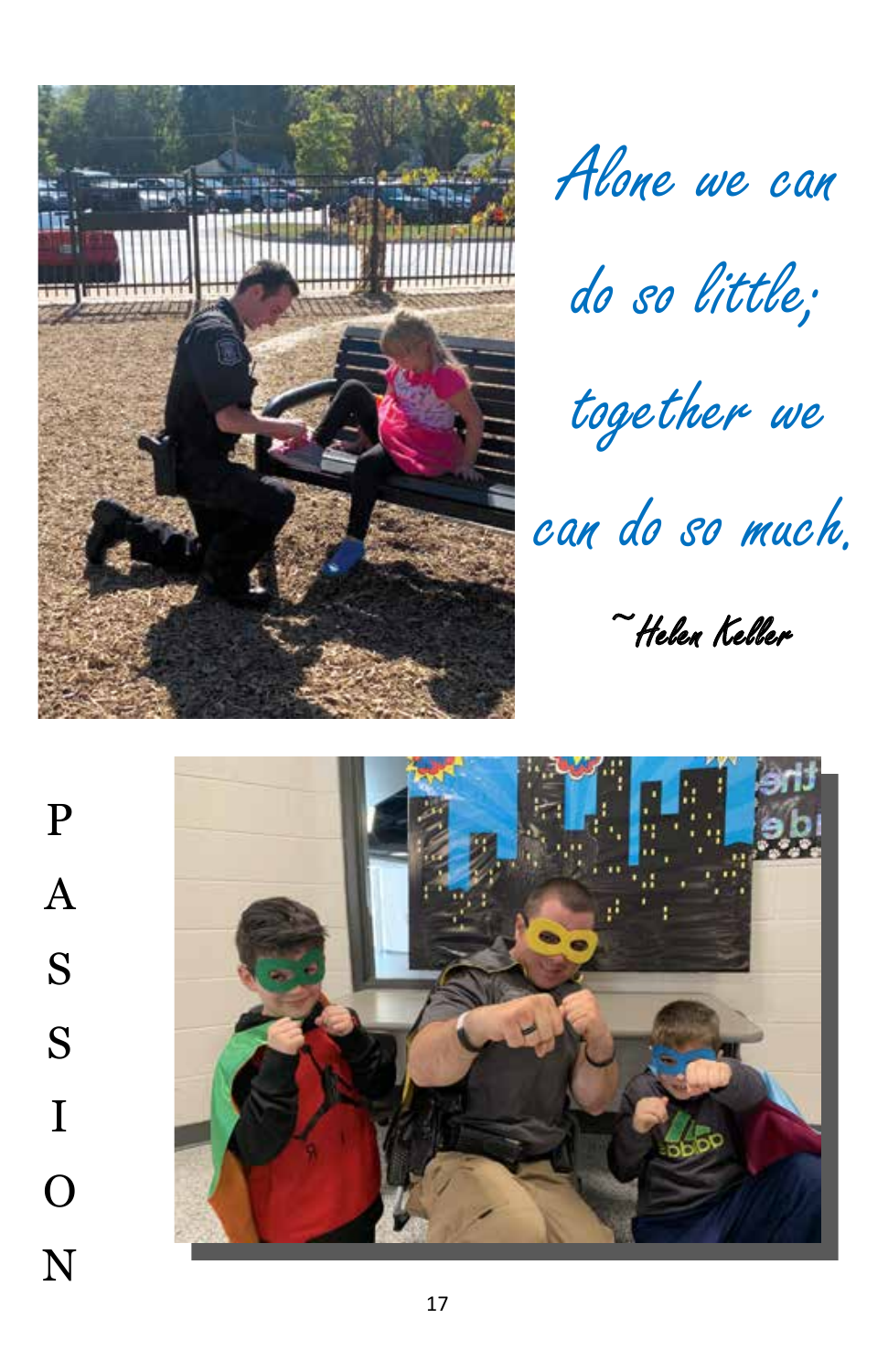

Alone we can Alone we can

do so little; do so little;

together we together we

can do so much. can do so much.

~Helen Keller ~Helen Keller

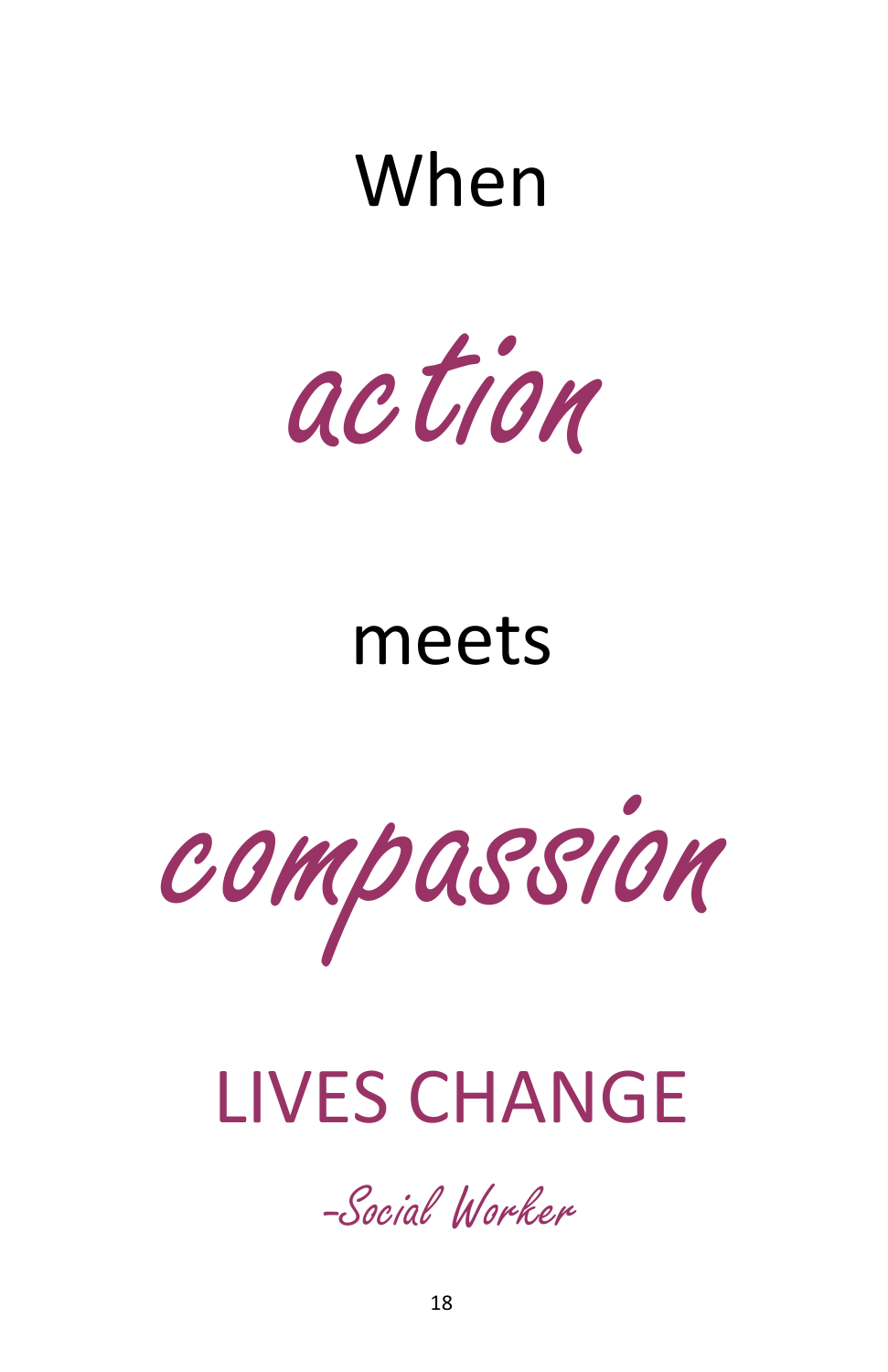# When



# meets



# LIVES CHANGE

-Social Worker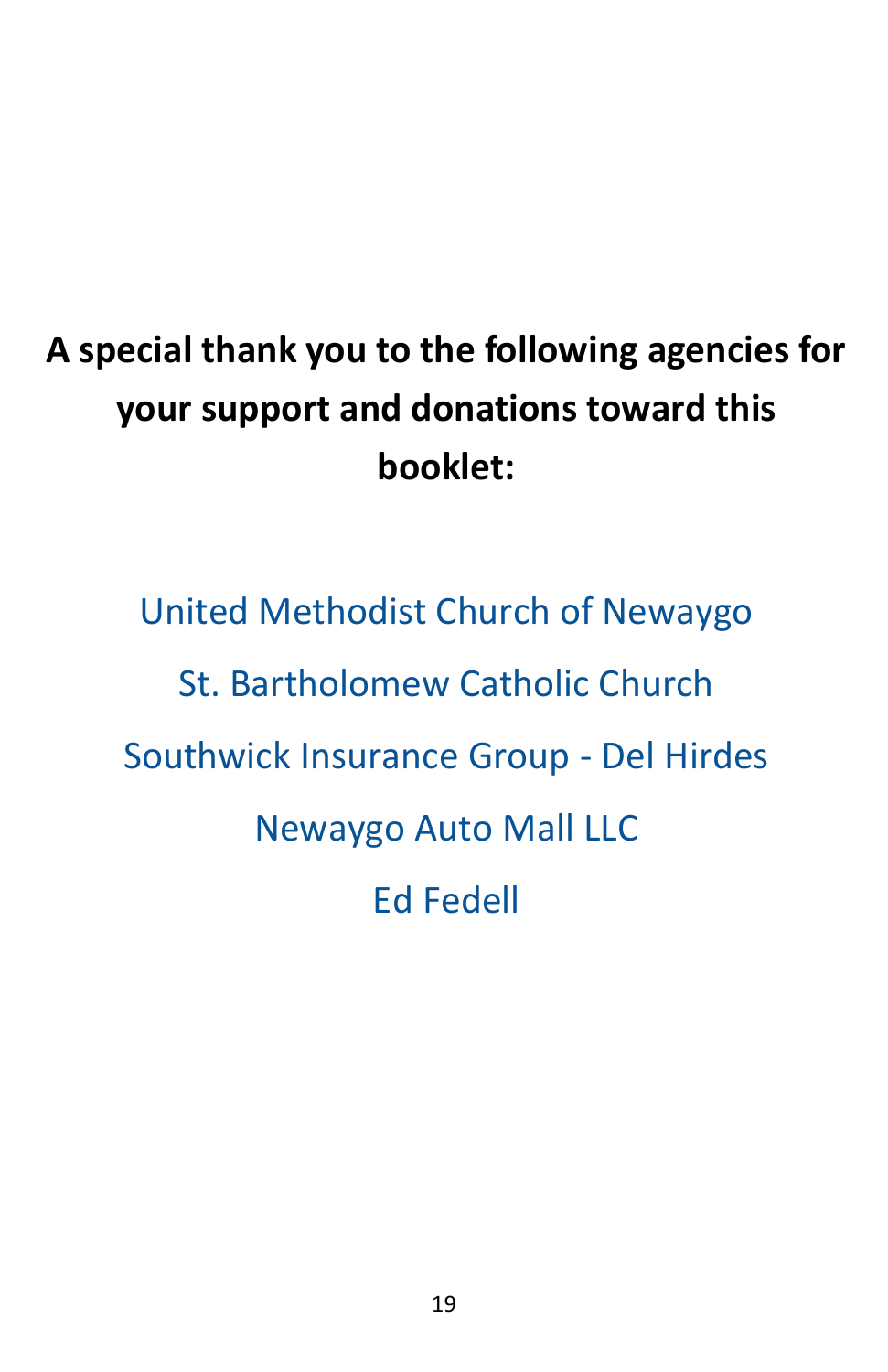# **A special thank you to the following agencies for your support and donations toward this booklet:**

United Methodist Church of Newaygo St. Bartholomew Catholic Church Southwick Insurance Group - Del Hirdes Newaygo Auto Mall LLC Ed Fedell